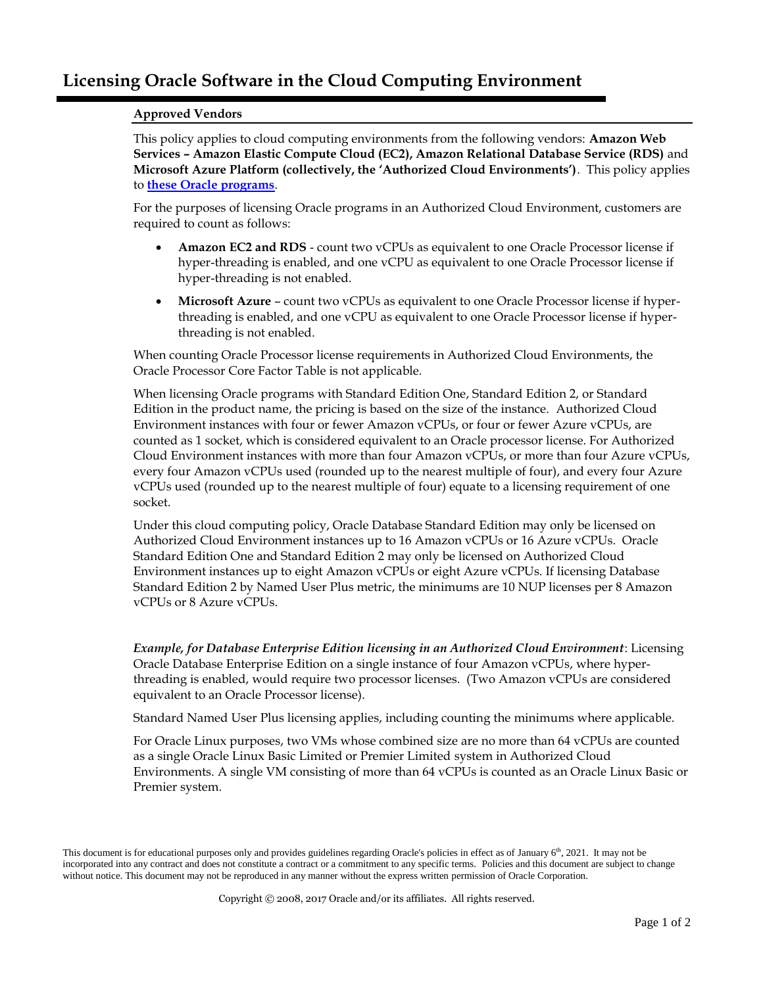## **Approved Vendors**

This policy applies to cloud computing environments from the following vendors: **Amazon Web Services – Amazon Elastic Compute Cloud (EC2), Amazon Relational Database Service (RDS)** and **Microsoft Azure Platform (collectively, the 'Authorized Cloud Environments')**. This policy applies to **[these Oracle programs](http://www.oracle.com/us/corporate/pricing/authorized-cloud-environments-3493562.pdf)**.

For the purposes of licensing Oracle programs in an Authorized Cloud Environment, customers are required to count as follows:

- **Amazon EC2 and RDS** count two vCPUs as equivalent to one Oracle Processor license if hyper-threading is enabled, and one vCPU as equivalent to one Oracle Processor license if hyper-threading is not enabled.
- **Microsoft Azure** count two vCPUs as equivalent to one Oracle Processor license if hyperthreading is enabled, and one vCPU as equivalent to one Oracle Processor license if hyperthreading is not enabled.

When counting Oracle Processor license requirements in Authorized Cloud Environments, the Oracle Processor Core Factor Table is not applicable.

When licensing Oracle programs with Standard Edition One, Standard Edition 2, or Standard Edition in the product name, the pricing is based on the size of the instance. Authorized Cloud Environment instances with four or fewer Amazon vCPUs, or four or fewer Azure vCPUs, are counted as 1 socket, which is considered equivalent to an Oracle processor license. For Authorized Cloud Environment instances with more than four Amazon vCPUs, or more than four Azure vCPUs, every four Amazon vCPUs used (rounded up to the nearest multiple of four), and every four Azure vCPUs used (rounded up to the nearest multiple of four) equate to a licensing requirement of one socket.

Under this cloud computing policy, Oracle Database Standard Edition may only be licensed on Authorized Cloud Environment instances up to 16 Amazon vCPUs or 16 Azure vCPUs. Oracle Standard Edition One and Standard Edition 2 may only be licensed on Authorized Cloud Environment instances up to eight Amazon vCPUs or eight Azure vCPUs. If licensing Database Standard Edition 2 by Named User Plus metric, the minimums are 10 NUP licenses per 8 Amazon vCPUs or 8 Azure vCPUs.

*Example, for Database Enterprise Edition licensing in an Authorized Cloud Environment*: Licensing Oracle Database Enterprise Edition on a single instance of four Amazon vCPUs, where hyperthreading is enabled, would require two processor licenses. (Two Amazon vCPUs are considered equivalent to an Oracle Processor license).

Standard Named User Plus licensing applies, including counting the minimums where applicable.

For Oracle Linux purposes, two VMs whose combined size are no more than 64 vCPUs are counted as a single Oracle Linux Basic Limited or Premier Limited system in Authorized Cloud Environments. A single VM consisting of more than 64 vCPUs is counted as an Oracle Linux Basic or Premier system.

Copyright © 2008, 2017 Oracle and/or its affiliates. All rights reserved.

This document is for educational purposes only and provides guidelines regarding Oracle's policies in effect as of January 6<sup>th</sup>, 2021. It may not be incorporated into any contract and does not constitute a contract or a commitment to any specific terms. Policies and this document are subject to change without notice. This document may not be reproduced in any manner without the express written permission of Oracle Corporation.